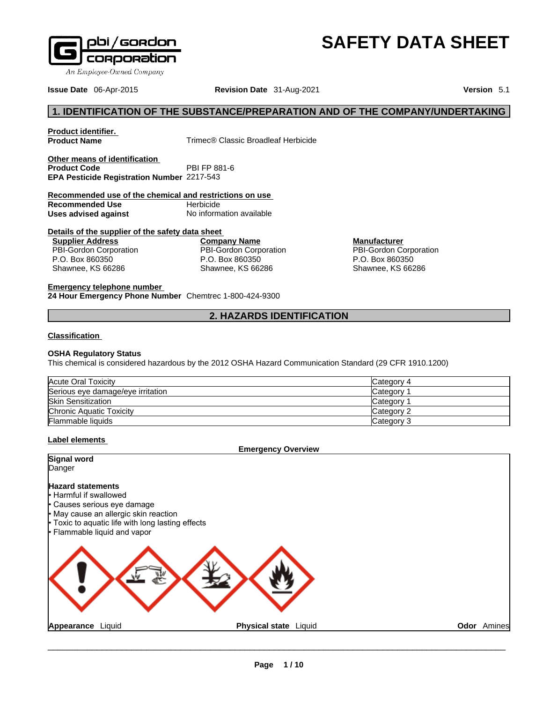

An Employee-Owned Company

**Issue Date** 06-Apr-2015 **Revision Date** 31-Aug-2021 **Version** 5.1

# **1. IDENTIFICATION OF THE SUBSTANCE/PREPARATION AND OF THE COMPANY/UNDERTAKING**

**Product identifier.**

**Trimec® Classic Broadleaf Herbicide** 

**Other means of identification**<br>**Product Code** PBI FP 881-6 **Product Code EPA Pesticide Registration Number** 2217-543

**Recommended use of the chemical and restrictions on use Recommended Use Uses advised against** No information available

# **Details of the supplier of the safety data sheet**

**Supplier Address** PBI-Gordon Corporation P.O. Box 860350 Shawnee, KS 66286

**Company Name** PBI-Gordon Corporation P.O. Box 860350 Shawnee, KS 66286

**Manufacturer** PBI-Gordon Corporation P.O. Box 860350 Shawnee, KS 66286

**SAFETY DATA SHEET** 

**Emergency telephone number**

**24 Hour Emergency Phone Number** Chemtrec 1-800-424-9300

# **2. HAZARDS IDENTIFICATION**

#### **Classification**

### **OSHA Regulatory Status**

This chemical is considered hazardous by the 2012 OSHA Hazard Communication Standard (29 CFR 1910.1200)

| Acute Oral Toxicity               | Category 4 |
|-----------------------------------|------------|
| Serious eye damage/eye irritation | Category   |
| <b>Skin Sensitization</b>         | Category   |
| Chronic Aquatic Toxicity          | Category 2 |
| Flammable liquids                 | Category 3 |

### **Label elements**

**Emergency Overview Signal word** Danger **Hazard statements** • Harmful if swallowed Causes serious eye damage • May cause an allergic skin reaction Toxic to aquatic life with long lasting effects • Flammable liquid and vapor **Appearance** Liquid **Physical state** Liquid **Odor** Amines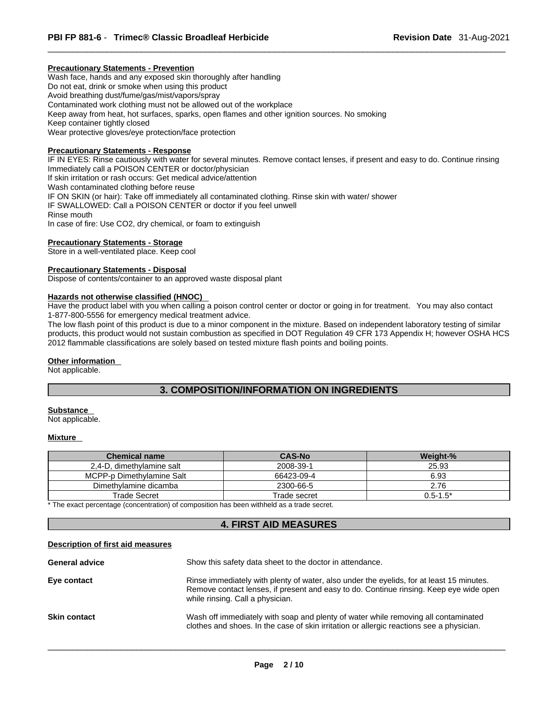# **Precautionary Statements - Prevention**

Wash face, hands and any exposed skin thoroughly after handling Do not eat, drink or smoke when using this product Avoid breathing dust/fume/gas/mist/vapors/spray Contaminated work clothing must not be allowed out of the workplace Keep away from heat, hot surfaces, sparks, open flames and other ignition sources. No smoking Keep container tightly closed Wear protective gloves/eye protection/face protection

# **Precautionary Statements - Response**

IF IN EYES: Rinse cautiously with water for several minutes. Remove contact lenses, if present and easy to do. Continue rinsing Immediately call a POISON CENTER or doctor/physician If skin irritation or rash occurs: Get medical advice/attention Wash contaminated clothing before reuse IF ON SKIN (or hair): Take off immediately all contaminated clothing. Rinse skin with water/ shower IF SWALLOWED: Call a POISON CENTER or doctor if you feel unwell Rinse mouth In case of fire: Use CO2, dry chemical, or foam to extinguish

# **Precautionary Statements - Storage**

Store in a well-ventilated place. Keep cool

# **Precautionary Statements - Disposal**

Dispose of contents/container to an approved waste disposal plant

# **Hazards not otherwise classified (HNOC)**

Have the product label with you when calling a poison control center or doctor or going in for treatment. You may also contact 1-877-800-5556 for emergency medical treatment advice.

The low flash point of this product is due to a minor component in the mixture. Based on independent laboratory testing of similar products, this product would not sustain combustion as specified in DOT Regulation 49 CFR 173 Appendix H; however OSHA HCS 2012 flammable classifications are solely based on tested mixture flash points and boiling points.

#### **Other information**

Not applicable.

# **3. COMPOSITION/INFORMATION ON INGREDIENTS**

# **Substance**

Not applicable.

#### **Mixture**

| <b>Chemical name</b>      | <b>CAS-No</b> | Weight-%     |
|---------------------------|---------------|--------------|
| 2,4-D, dimethylamine salt | 2008-39-1     | 25.93        |
| MCPP-p Dimethylamine Salt | 66423-09-4    | 6.93         |
| Dimethylamine dicamba     | 2300-66-5     | 2.76         |
| Trade Secret              | Trade secret  | $0.5 - 1.5*$ |

\* The exact percentage (concentration) of composition has been withheld as a trade secret.

# **4. FIRST AID MEASURES**

#### **Description of first aid measures**

| <b>General advice</b> | Show this safety data sheet to the doctor in attendance.                                                                                                                                                               |  |  |
|-----------------------|------------------------------------------------------------------------------------------------------------------------------------------------------------------------------------------------------------------------|--|--|
| Eye contact           | Rinse immediately with plenty of water, also under the eyelids, for at least 15 minutes.<br>Remove contact lenses, if present and easy to do. Continue rinsing. Keep eye wide open<br>while rinsing. Call a physician. |  |  |
| <b>Skin contact</b>   | Wash off immediately with soap and plenty of water while removing all contaminated<br>clothes and shoes. In the case of skin irritation or allergic reactions see a physician.                                         |  |  |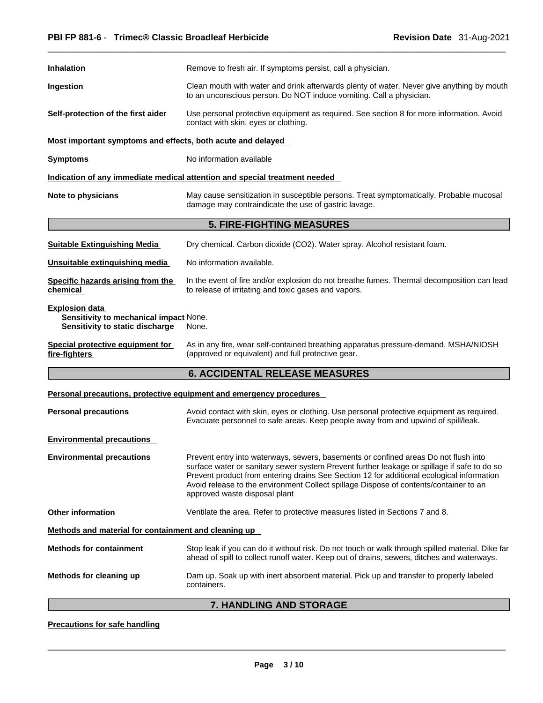| <b>Inhalation</b>                                                                                  | Remove to fresh air. If symptoms persist, call a physician.                                                                                                                                                                                                                                                                                                                                               |  |  |
|----------------------------------------------------------------------------------------------------|-----------------------------------------------------------------------------------------------------------------------------------------------------------------------------------------------------------------------------------------------------------------------------------------------------------------------------------------------------------------------------------------------------------|--|--|
| Ingestion                                                                                          | Clean mouth with water and drink afterwards plenty of water. Never give anything by mouth<br>to an unconscious person. Do NOT induce vomiting. Call a physician.                                                                                                                                                                                                                                          |  |  |
| Self-protection of the first aider                                                                 | Use personal protective equipment as required. See section 8 for more information. Avoid<br>contact with skin, eyes or clothing.                                                                                                                                                                                                                                                                          |  |  |
| Most important symptoms and effects, both acute and delayed                                        |                                                                                                                                                                                                                                                                                                                                                                                                           |  |  |
| <b>Symptoms</b>                                                                                    | No information available                                                                                                                                                                                                                                                                                                                                                                                  |  |  |
|                                                                                                    | Indication of any immediate medical attention and special treatment needed                                                                                                                                                                                                                                                                                                                                |  |  |
| Note to physicians                                                                                 | May cause sensitization in susceptible persons. Treat symptomatically. Probable mucosal<br>damage may contraindicate the use of gastric lavage.                                                                                                                                                                                                                                                           |  |  |
|                                                                                                    | <b>5. FIRE-FIGHTING MEASURES</b>                                                                                                                                                                                                                                                                                                                                                                          |  |  |
| <b>Suitable Extinguishing Media</b>                                                                | Dry chemical. Carbon dioxide (CO2). Water spray. Alcohol resistant foam.                                                                                                                                                                                                                                                                                                                                  |  |  |
| Unsuitable extinguishing media                                                                     | No information available.                                                                                                                                                                                                                                                                                                                                                                                 |  |  |
| Specific hazards arising from the<br>chemical                                                      | In the event of fire and/or explosion do not breathe fumes. Thermal decomposition can lead<br>to release of irritating and toxic gases and vapors.                                                                                                                                                                                                                                                        |  |  |
| <b>Explosion data</b><br>Sensitivity to mechanical impact None.<br>Sensitivity to static discharge | None.                                                                                                                                                                                                                                                                                                                                                                                                     |  |  |
| Special protective equipment for<br>fire-fighters                                                  | As in any fire, wear self-contained breathing apparatus pressure-demand, MSHA/NIOSH<br>(approved or equivalent) and full protective gear.                                                                                                                                                                                                                                                                 |  |  |
|                                                                                                    | <b>6. ACCIDENTAL RELEASE MEASURES</b>                                                                                                                                                                                                                                                                                                                                                                     |  |  |
|                                                                                                    | Personal precautions, protective equipment and emergency procedures                                                                                                                                                                                                                                                                                                                                       |  |  |
| <b>Personal precautions</b>                                                                        | Avoid contact with skin, eyes or clothing. Use personal protective equipment as required.<br>Evacuate personnel to safe areas. Keep people away from and upwind of spill/leak.                                                                                                                                                                                                                            |  |  |
| <b>Environmental precautions</b>                                                                   |                                                                                                                                                                                                                                                                                                                                                                                                           |  |  |
| <b>Environmental precautions</b>                                                                   | Prevent entry into waterways, sewers, basements or confined areas Do not flush into<br>surface water or sanitary sewer system Prevent further leakage or spillage if safe to do so<br>Prevent product from entering drains See Section 12 for additional ecological information<br>Avoid release to the environment Collect spillage Dispose of contents/container to an<br>approved waste disposal plant |  |  |
| <b>Other information</b>                                                                           | Ventilate the area. Refer to protective measures listed in Sections 7 and 8.                                                                                                                                                                                                                                                                                                                              |  |  |
| Methods and material for containment and cleaning up                                               |                                                                                                                                                                                                                                                                                                                                                                                                           |  |  |
| <b>Methods for containment</b>                                                                     | Stop leak if you can do it without risk. Do not touch or walk through spilled material. Dike far<br>ahead of spill to collect runoff water. Keep out of drains, sewers, ditches and waterways.                                                                                                                                                                                                            |  |  |
| Methods for cleaning up                                                                            | Dam up. Soak up with inert absorbent material. Pick up and transfer to properly labeled<br>containers.                                                                                                                                                                                                                                                                                                    |  |  |
|                                                                                                    | 7. HANDLING AND STORAGE                                                                                                                                                                                                                                                                                                                                                                                   |  |  |

# **Precautions for safe handling**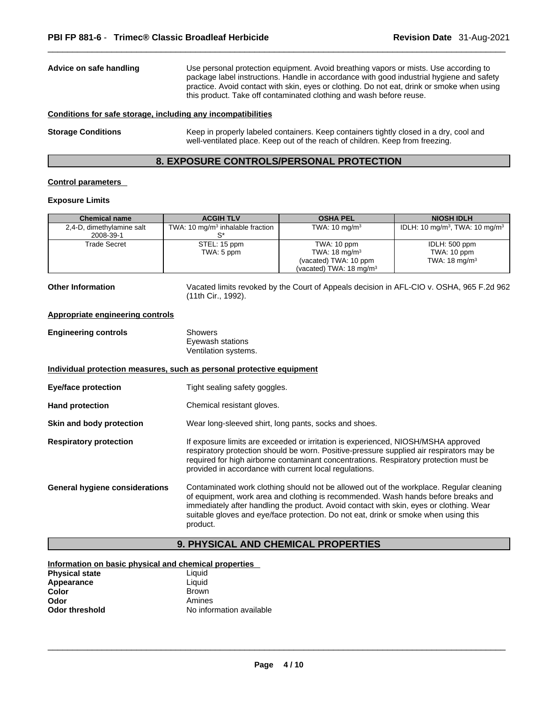| Advice on safe handling                                      | Use personal protection equipment. Avoid breathing vapors or mists. Use according to<br>package label instructions. Handle in accordance with good industrial hygiene and safety<br>practice. Avoid contact with skin, eyes or clothing. Do not eat, drink or smoke when using<br>this product. Take off contaminated clothing and wash before reuse. |  |
|--------------------------------------------------------------|-------------------------------------------------------------------------------------------------------------------------------------------------------------------------------------------------------------------------------------------------------------------------------------------------------------------------------------------------------|--|
| Conditions for safe storage, including any incompatibilities |                                                                                                                                                                                                                                                                                                                                                       |  |
| <b>Storage Conditions</b>                                    | Keep in properly labeled containers. Keep containers tightly closed in a dry, cool and<br>well-ventilated place. Keep out of the reach of children. Keep from freezing.                                                                                                                                                                               |  |

# **8. EXPOSURE CONTROLS/PERSONAL PROTECTION**

# **Control parameters**

# **Exposure Limits**

| <b>Chemical name</b>      | <b>ACGIH TLV</b>                             | <b>OSHA PEL</b>                    | <b>NIOSH IDLH</b>                                      |
|---------------------------|----------------------------------------------|------------------------------------|--------------------------------------------------------|
| 2,4-D, dimethylamine salt | TWA: 10 mg/m <sup>3</sup> inhalable fraction | TWA: $10 \text{ mg/m}^3$           | IDLH: 10 mg/m <sup>3</sup> , TWA: 10 mg/m <sup>3</sup> |
| 2008-39-1                 |                                              |                                    |                                                        |
| Trade Secret              | STEL: 15 ppm                                 | TWA: 10 ppm                        | IDLH: 500 ppm                                          |
|                           | TWA: 5 ppm                                   | TWA: $18 \text{ mg/m}^3$           | TWA: 10 ppm                                            |
|                           |                                              | (vacated) TWA: 10 ppm              | TWA: $18 \text{ mg/m}^3$                               |
|                           |                                              | (vacated) TWA: $18 \text{ mg/m}^3$ |                                                        |

**Other Information** Vacated limits revoked by the Court of Appeals decision in AFL-CIO v.OSHA, 965 F.2d 962 (11th Cir., 1992).

#### **Appropriate engineering controls**

| <b>Engineering controls</b> | Showers              |  |
|-----------------------------|----------------------|--|
|                             | Eyewash stations     |  |
|                             | Ventilation systems. |  |

**Individual protection measures, such as personal protective equipment**

- **Eye/face protection** Tight sealing safety goggles.
- **Hand protection Chemical resistant gloves.**

**Skin and body protection** Wear long-sleeved shirt, long pants, socks and shoes.

- **Respiratory protection If exposure limits are exceeded or irritation is experienced, NIOSH/MSHA approved** respiratory protection should be worn. Positive-pressure supplied air respirators may be required for high airborne contaminant concentrations. Respiratory protection must be provided in accordance with current local regulations.
- **General hygiene considerations** Contaminated work clothing should not be allowed outof the workplace. Regular cleaning of equipment, work area and clothing is recommended. Wash hands before breaks and immediately after handling the product. Avoid contact with skin, eyes or clothing. Wear suitable gloves and eye/face protection. Do not eat, drink or smoke when using this product.

# **9. PHYSICAL AND CHEMICAL PROPERTIES**

# **Information on basic physical and chemical properties Physical state** Liquid<br> **Appearance** Liquid **Appearance**<br>Color **Color Brown Brown Brown Brown Amines**

**Odor** Amines<br> **Odor threshold Amines**<br> **Amineshold Amines No information available**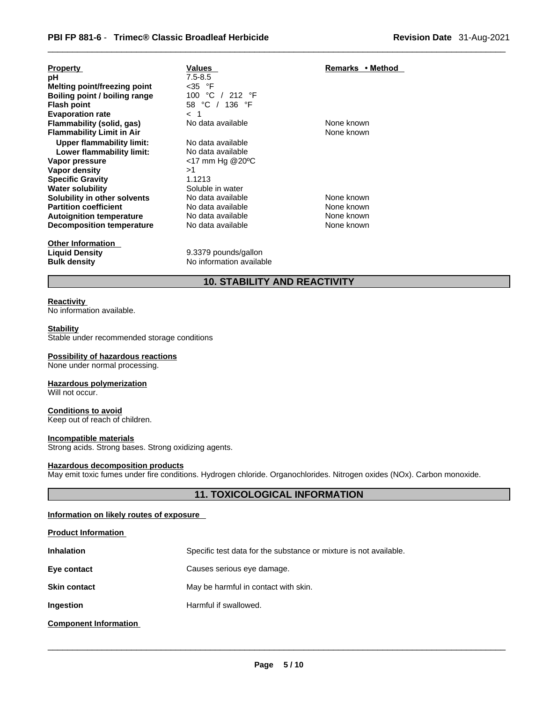| <b>Property</b>                     | Values                        | Remarks • Method |
|-------------------------------------|-------------------------------|------------------|
| рH                                  | $7.5 - 8.5$                   |                  |
| <b>Melting point/freezing point</b> | $<$ 35 $\degree$ F            |                  |
| Boiling point / boiling range       | 100 °C<br>$/$ 212 $\degree$ F |                  |
| <b>Flash point</b>                  | 58 °C / 136 °F                |                  |
| <b>Evaporation rate</b>             | $\lt$                         |                  |
| Flammability (solid, gas)           | No data available             | None known       |
| <b>Flammability Limit in Air</b>    |                               | None known       |
| Upper flammability limit:           | No data available             |                  |
| Lower flammability limit:           | No data available             |                  |
| Vapor pressure                      | $<$ 17 mm Hg @20 $^{\circ}$ C |                  |
| Vapor density                       | >1                            |                  |
| <b>Specific Gravity</b>             | 1.1213                        |                  |
| <b>Water solubility</b>             | Soluble in water              |                  |
| Solubility in other solvents        | No data available             | None known       |
| <b>Partition coefficient</b>        | No data available             | None known       |
| <b>Autoignition temperature</b>     | No data available             | None known       |
| <b>Decomposition temperature</b>    | No data available             | None known       |
| Other Information                   |                               |                  |

**Other Information** 

**Liquid Density** 9.3379 pounds/gallon **Bulk density No information available** 

# **10. STABILITY AND REACTIVITY**

### **Reactivity**

No information available.

# **Stability**

Stable under recommended storage conditions

#### **Possibility of hazardous reactions**

None under normal processing.

# **Hazardous polymerization**

Will not occur.

# **Conditions to avoid**

Keep out of reach of children.

# **Incompatible materials**

**Product Information**

Strong acids. Strong bases. Strong oxidizing agents.

#### **Hazardous decomposition products**

May emit toxic fumes under fire conditions. Hydrogen chloride. Organochlorides. Nitrogen oxides (NOx). Carbon monoxide.

# **11. TOXICOLOGICAL INFORMATION**

# **Information on likely routes of exposure**

| <b>FIQUUL INQUINQUON</b>     |                                                                   |
|------------------------------|-------------------------------------------------------------------|
| <b>Inhalation</b>            | Specific test data for the substance or mixture is not available. |
| Eye contact                  | Causes serious eye damage.                                        |
| <b>Skin contact</b>          | May be harmful in contact with skin.                              |
| Ingestion                    | Harmful if swallowed.                                             |
| <b>Component Information</b> |                                                                   |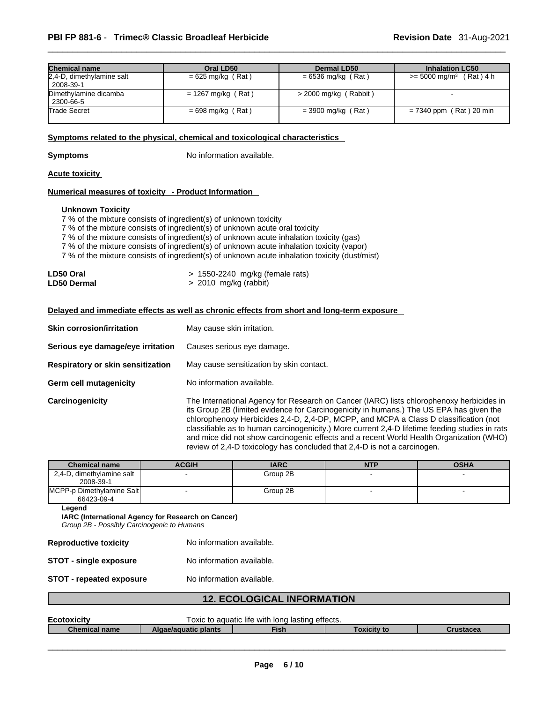| <b>Chemical name</b>                   | Oral LD50            | <b>Dermal LD50</b>      | <b>Inhalation LC50</b>                  |
|----------------------------------------|----------------------|-------------------------|-----------------------------------------|
| 2,4-D, dimethylamine salt<br>2008-39-1 | $= 625$ mg/kg (Rat)  | $= 6536$ mg/kg (Rat)    | $(Rat)$ 4 h<br>$>= 5000 \text{ mg/m}^3$ |
| Dimethylamine dicamba<br>2300-66-5     | $= 1267$ mg/kg (Rat) | $>$ 2000 mg/kg (Rabbit) |                                         |
| Trade Secret                           | $= 698$ mg/kg (Rat)  | $=$ 3900 mg/kg (Rat)    | $= 7340$ ppm (Rat) 20 min               |

# **<u>Symptoms related to the physical, chemical and toxicological characteristics</u>**

**Symptoms** No information available.

# **Acute toxicity**

### **Numerical measures of toxicity - Product Information**

# **Unknown Toxicity**

 $7%$  of the mixture consists of ingredient(s) of unknown toxicity

7 % of the mixture consists of ingredient(s) of unknown acute oral toxicity

7 % of the mixture consists of ingredient(s) of unknown acute inhalation toxicity (gas)

7 % of the mixture consists of ingredient(s) of unknown acute inhalation toxicity (vapor)

7 % of the mixture consists of ingredient(s) of unknown acute inhalation toxicity (dust/mist)

| LD50 Oral          | > 1550-2240 mg/kg (female rats) |
|--------------------|---------------------------------|
| <b>LD50 Dermal</b> | > 2010 mg/kg (rabbit)           |

# **Delayed and immediate effects as well as chronic effects from short and long-term exposure**

| <b>Skin corrosion/irritation</b>  | May cause skin irritation.                                                                                                                                                                                                                                                                                                                                                                                                                                                                                                                           |  |  |
|-----------------------------------|------------------------------------------------------------------------------------------------------------------------------------------------------------------------------------------------------------------------------------------------------------------------------------------------------------------------------------------------------------------------------------------------------------------------------------------------------------------------------------------------------------------------------------------------------|--|--|
| Serious eye damage/eye irritation | Causes serious eye damage.                                                                                                                                                                                                                                                                                                                                                                                                                                                                                                                           |  |  |
| Respiratory or skin sensitization | May cause sensitization by skin contact.                                                                                                                                                                                                                                                                                                                                                                                                                                                                                                             |  |  |
| <b>Germ cell mutagenicity</b>     | No information available.                                                                                                                                                                                                                                                                                                                                                                                                                                                                                                                            |  |  |
| Carcinogenicity                   | The International Agency for Research on Cancer (IARC) lists chlorophenoxy herbicides in<br>its Group 2B (limited evidence for Carcinogenicity in humans.) The US EPA has given the<br>chlorophenoxy Herbicides 2,4-D, 2,4-DP, MCPP, and MCPA a Class D classification (not<br>classifiable as to human carcinogenicity.) More current 2,4-D lifetime feeding studies in rats<br>and mice did not show carcinogenic effects and a recent World Health Organization (WHO)<br>review of 2,4-D toxicology has concluded that 2,4-D is not a carcinogen. |  |  |

| <b>Chemical name</b>                    | <b>ACGIH</b> | <b>IARC</b> | <b>NTP</b> | <b>OSHA</b> |
|-----------------------------------------|--------------|-------------|------------|-------------|
| 2,4-D, dimethylamine salt<br>2008-39-1  |              | Group 2B    |            |             |
| MCPP-p Dimethylamine Salt<br>66423-09-4 |              | Group 2B    |            |             |

**Legend**

**IARC (International Agency for Research on Cancer)**

*Group 2B - Possibly Carcinogenic to Humans* 

| <b>Reproductive toxicity</b>    | No information available. |
|---------------------------------|---------------------------|
| <b>STOT - single exposure</b>   | No information available. |
| <b>STOT - repeated exposure</b> | No information available. |

# **12. ECOLOGICAL INFORMATION**

| Ecotoxic         | ™effects.<br>long lasting<br>aquatic life with ،<br>OXIC<br>to |             |          |      |
|------------------|----------------------------------------------------------------|-------------|----------|------|
| Chemical<br>name | <b>blants</b><br><i>iel</i> aguatic                            | <b>Fish</b> | Гохісіtv | асеа |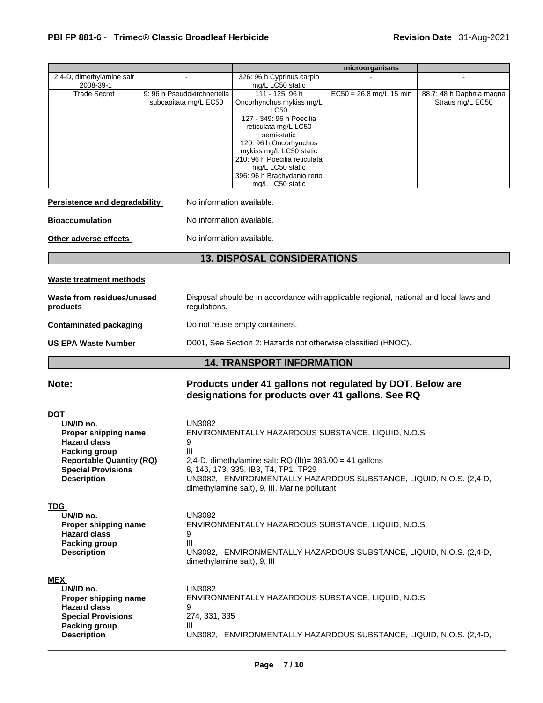|                                                                                                                                                                                      |                                                                                                                                      |                                                                                                                                                                                                                                                                                   | microorganisms            |                                              |  |
|--------------------------------------------------------------------------------------------------------------------------------------------------------------------------------------|--------------------------------------------------------------------------------------------------------------------------------------|-----------------------------------------------------------------------------------------------------------------------------------------------------------------------------------------------------------------------------------------------------------------------------------|---------------------------|----------------------------------------------|--|
| 2,4-D, dimethylamine salt<br>2008-39-1                                                                                                                                               |                                                                                                                                      | 326: 96 h Cyprinus carpio<br>mg/L LC50 static                                                                                                                                                                                                                                     |                           |                                              |  |
| <b>Trade Secret</b>                                                                                                                                                                  | 9: 96 h Pseudokirchneriella<br>subcapitata mg/L EC50                                                                                 | 111 - 125: 96 h<br>Oncorhynchus mykiss mg/L<br><b>LC50</b>                                                                                                                                                                                                                        | $EC50 = 26.8$ mg/L 15 min | 88.7: 48 h Daphnia magna<br>Straus mg/L EC50 |  |
|                                                                                                                                                                                      |                                                                                                                                      | 127 - 349: 96 h Poecilia<br>reticulata mg/L LC50                                                                                                                                                                                                                                  |                           |                                              |  |
|                                                                                                                                                                                      |                                                                                                                                      | semi-static<br>120: 96 h Oncorhynchus<br>mykiss mg/L LC50 static                                                                                                                                                                                                                  |                           |                                              |  |
|                                                                                                                                                                                      |                                                                                                                                      | 210: 96 h Poecilia reticulata<br>mg/L LC50 static<br>396: 96 h Brachydanio rerio<br>mg/L LC50 static                                                                                                                                                                              |                           |                                              |  |
| Persistence and degradability                                                                                                                                                        | No information available.                                                                                                            |                                                                                                                                                                                                                                                                                   |                           |                                              |  |
| <b>Bioaccumulation</b>                                                                                                                                                               | No information available.                                                                                                            |                                                                                                                                                                                                                                                                                   |                           |                                              |  |
| Other adverse effects                                                                                                                                                                | No information available.                                                                                                            |                                                                                                                                                                                                                                                                                   |                           |                                              |  |
|                                                                                                                                                                                      |                                                                                                                                      | <b>13. DISPOSAL CONSIDERATIONS</b>                                                                                                                                                                                                                                                |                           |                                              |  |
| <b>Waste treatment methods</b>                                                                                                                                                       |                                                                                                                                      |                                                                                                                                                                                                                                                                                   |                           |                                              |  |
| products                                                                                                                                                                             | Disposal should be in accordance with applicable regional, national and local laws and<br>Waste from residues/unused<br>regulations. |                                                                                                                                                                                                                                                                                   |                           |                                              |  |
| <b>Contaminated packaging</b><br>Do not reuse empty containers.                                                                                                                      |                                                                                                                                      |                                                                                                                                                                                                                                                                                   |                           |                                              |  |
| <b>US EPA Waste Number</b>                                                                                                                                                           | D001, See Section 2: Hazards not otherwise classified (HNOC).                                                                        |                                                                                                                                                                                                                                                                                   |                           |                                              |  |
|                                                                                                                                                                                      |                                                                                                                                      | <b>14. TRANSPORT INFORMATION</b>                                                                                                                                                                                                                                                  |                           |                                              |  |
| Note:                                                                                                                                                                                |                                                                                                                                      | Products under 41 gallons not regulated by DOT. Below are<br>designations for products over 41 gallons. See RQ                                                                                                                                                                    |                           |                                              |  |
| <b>DOT</b><br>UN/ID no.<br>Proper shipping name<br><b>Hazard class</b><br><b>Packing group</b><br><b>Reportable Quantity (RQ)</b><br><b>Special Provisions</b><br><b>Description</b> | <b>UN3082</b><br>9<br>Ш                                                                                                              | ENVIRONMENTALLY HAZARDOUS SUBSTANCE, LIQUID, N.O.S.<br>2,4-D, dimethylamine salt: $RQ (lb) = 386.00 = 41$ gallons<br>8, 146, 173, 335, IB3, T4, TP1, TP29<br>UN3082, ENVIRONMENTALLY HAZARDOUS SUBSTANCE, LIQUID, N.O.S. (2,4-D,<br>dimethylamine salt), 9, III, Marine pollutant |                           |                                              |  |
| TDG<br>UN/ID no.<br>Proper shipping name<br><b>Hazard class</b><br><b>Packing group</b><br><b>Description</b>                                                                        | <b>UN3082</b><br>9<br>III<br>dimethylamine salt), 9, III                                                                             | ENVIRONMENTALLY HAZARDOUS SUBSTANCE, LIQUID, N.O.S.<br>UN3082, ENVIRONMENTALLY HAZARDOUS SUBSTANCE, LIQUID, N.O.S. (2,4-D,                                                                                                                                                        |                           |                                              |  |
| <b>MEX</b><br>UN/ID no.<br>Proper shipping name<br><b>Hazard class</b><br><b>Special Provisions</b><br><b>Packing group</b><br><b>Description</b>                                    | <b>UN3082</b><br>9<br>274, 331, 335<br>Ш                                                                                             | ENVIRONMENTALLY HAZARDOUS SUBSTANCE, LIQUID, N.O.S.<br>UN3082, ENVIRONMENTALLY HAZARDOUS SUBSTANCE, LIQUID, N.O.S. (2,4-D,                                                                                                                                                        |                           |                                              |  |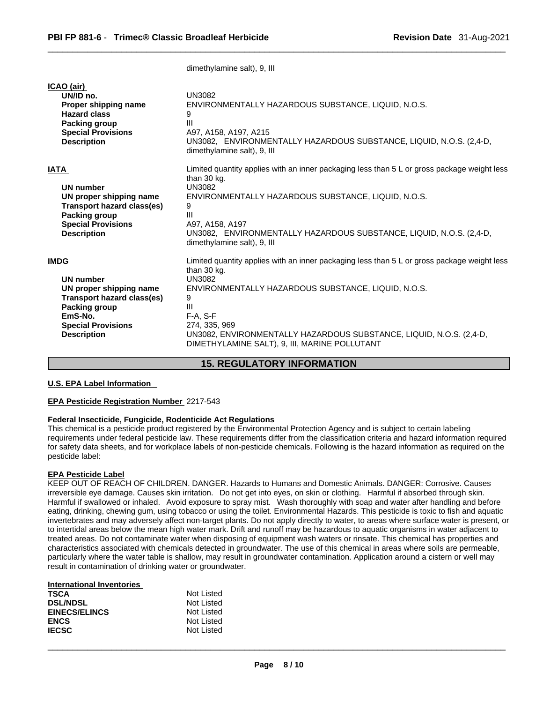|                                                                                                                                                                                | ullictrivialillic Salt), J, III                                                                                                                                                                                                                                                                                                                     |
|--------------------------------------------------------------------------------------------------------------------------------------------------------------------------------|-----------------------------------------------------------------------------------------------------------------------------------------------------------------------------------------------------------------------------------------------------------------------------------------------------------------------------------------------------|
| ICAO (air)<br>UN/ID no.<br>Proper shipping name<br><b>Hazard class</b><br>Packing group<br><b>Special Provisions</b><br><b>Description</b>                                     | <b>UN3082</b><br>ENVIRONMENTALLY HAZARDOUS SUBSTANCE, LIQUID, N.O.S.<br>9<br>III<br>A97, A158, A197, A215<br>UN3082, ENVIRONMENTALLY HAZARDOUS SUBSTANCE, LIQUID, N.O.S. (2,4-D,<br>dimethylamine salt), 9, III                                                                                                                                     |
| <b>IATA</b><br>UN number<br>UN proper shipping name<br>Transport hazard class(es)<br>Packing group<br><b>Special Provisions</b><br><b>Description</b>                          | Limited quantity applies with an inner packaging less than 5 L or gross package weight less<br>than 30 kg.<br><b>UN3082</b><br>ENVIRONMENTALLY HAZARDOUS SUBSTANCE, LIQUID, N.O.S.<br>9<br>Ш<br>A97, A158, A197<br>UN3082, ENVIRONMENTALLY HAZARDOUS SUBSTANCE, LIQUID, N.O.S. (2,4-D,<br>dimethylamine salt), 9, III                               |
| <b>IMDG</b><br><b>UN number</b><br>UN proper shipping name<br><b>Transport hazard class(es)</b><br>Packing group<br>EmS-No.<br><b>Special Provisions</b><br><b>Description</b> | Limited quantity applies with an inner packaging less than 5 L or gross package weight less<br>than 30 kg.<br><b>UN3082</b><br>ENVIRONMENTALLY HAZARDOUS SUBSTANCE, LIQUID, N.O.S.<br>9<br>Ш<br>$F-A. S-F$<br>274, 335, 969<br>UN3082, ENVIRONMENTALLY HAZARDOUS SUBSTANCE, LIQUID, N.O.S. (2,4-D,<br>DIMETHYLAMINE SALT), 9, III, MARINE POLLUTANT |

dimethylamine salt), 9, III

# **15. REGULATORY INFORMATION**

# **U.S. EPA Label Information**

# **EPA Pesticide Registration Number** 2217-543

# **Federal Insecticide, Fungicide, Rodenticide Act Regulations**

This chemical is a pesticide product registered by the Environmental Protection Agency and is subject to certain labeling requirements under federal pesticide law. These requirements differ from the classification criteria and hazard information required for safety data sheets, and for workplace labels of non-pesticide chemicals. Following is the hazard information as required on the pesticide label:

# **EPA Pesticide Label**

KEEP OUT OF REACH OF CHILDREN. DANGER. Hazards to Humans and Domestic Animals. DANGER: Corrosive. Causes irreversible eye damage. Causes skin irritation. Do not get into eyes, on skin or clothing. Harmful if absorbed through skin. Harmful if swallowed or inhaled. Avoid exposure to spray mist. Wash thoroughly with soap and water after handling and before eating, drinking, chewing gum, using tobacco or using the toilet. Environmental Hazards. This pesticide istoxic to fish and aquatic invertebrates and may adversely affect non-target plants. Do not apply directly to water, to areas where surface water is present, or to intertidal areas below the mean high water mark. Drift and runoff may be hazardous to aquatic organisms in water adjacent to treated areas. Do not contaminate water when disposing of equipment wash waters or rinsate. This chemical has properties and<br>characteristics associated with chemicals detected in groundwater. The use of this chemical in ar particularly where the water table is shallow, may result in groundwater contamination. Application around a cistern or well may result in contamination of drinking water or groundwater.

#### **International Inventories**

| Not Listed |
|------------|
| Not Listed |
| Not Listed |
| Not Listed |
| Not Listed |
|            |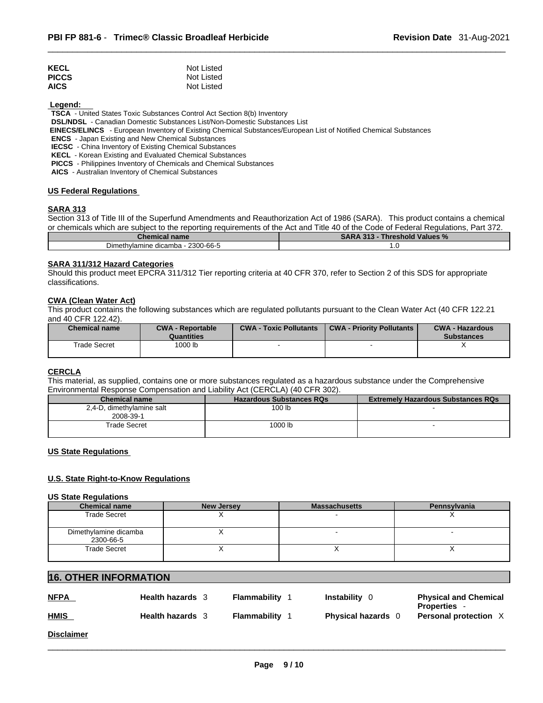| <b>KECL</b>  | Not Listed |
|--------------|------------|
| <b>PICCS</b> | Not Listed |
| <b>AICS</b>  | Not Listed |

 **Legend:** 

**TSCA** - United States Toxic Substances Control Act Section 8(b) Inventory

**DSL/NDSL** - Canadian Domestic Substances List/Non-Domestic Substances List

 **EINECS/ELINCS** - European Inventory of Existing Chemical Substances/European List of Notified Chemical Substances

**ENCS** - Japan Existing and New Chemical Substances

**IECSC** - China Inventory of Existing Chemical Substances

**KECL** - Korean Existing and Evaluated Chemical Substances

**PICCS** - Philippines Inventory of Chemicals and Chemical Substances

**AICS** - Australian Inventory of Chemical Substances

# **US Federal Regulations**

# **SARA 313**

Section 313 of Title III of the Superfund Amendments and Reauthorization Act of 1986 (SARA). This product contains a chemical or chemicals which are subject to the reporting requirements of the Act and Title 40 of the Code of Federal Regulations, Part 372.

| <b>Chemical name</b>              | <b>SARA 313 - Threshold Values %</b> |  |  |
|-----------------------------------|--------------------------------------|--|--|
| Dimethylamine dicamba - 2300-66-5 | $\cdot$ .                            |  |  |

#### **SARA 311/312 Hazard Categories**

Should this product meet EPCRA 311/312 Tier reporting criteria at 40 CFR 370, refer to Section 2 of this SDS for appropriate classifications.

# **CWA (Clean WaterAct)**

This product contains the following substances which are regulated pollutants pursuant to the Clean Water Act (40 CFR 122.21 and 40 CFR 122.42).

| <b>Chemical name</b> | <b>CWA - Reportable</b><br>Quantities | <b>CWA - Toxic Pollutants</b> | <b>CWA - Priority Pollutants</b> | <b>CWA - Hazardous</b><br><b>Substances</b> |
|----------------------|---------------------------------------|-------------------------------|----------------------------------|---------------------------------------------|
| Trade Secret         | 1000 lb                               |                               |                                  |                                             |

# **CERCLA**

This material, as supplied, contains one or more substances regulated as a hazardous substance under the Comprehensive Environmental Response Compensation and Liability Act (CERCLA) (40 CFR 302).

| Chemical name                          | <b>Hazardous Substances RQs</b> | <b>Extremely Hazardous Substances RQs</b> |
|----------------------------------------|---------------------------------|-------------------------------------------|
| 2,4-D, dimethylamine salt<br>2008-39-1 | 100 lb                          |                                           |
| Гrade Secret                           | 1000 lb                         |                                           |

# **US State Regulations**

# **U.S. State Right-to-Know Regulations**

#### **US State Regulations**

| <b>Chemical name</b>               | New Jersey | <b>Massachusetts</b> | <b>Pennsylvania</b> |
|------------------------------------|------------|----------------------|---------------------|
| <b>Trade Secret</b>                |            |                      |                     |
| Dimethylamine dicamba<br>2300-66-5 |            |                      |                     |
| Trade Secret                       |            |                      |                     |

# **16. OTHER INFORMATION**

| <b>NFPA</b>       | <b>Health hazards</b> 3 | <b>Flammability</b> | Instability<br>- 0      | <b>Physical and Chemical</b><br><b>Properties</b> |
|-------------------|-------------------------|---------------------|-------------------------|---------------------------------------------------|
| <b>HMIS</b>       | <b>Health hazards</b>   | Flammability        | <b>Physical hazards</b> | Personal protection X                             |
| <b>Disclaimer</b> |                         |                     |                         |                                                   |